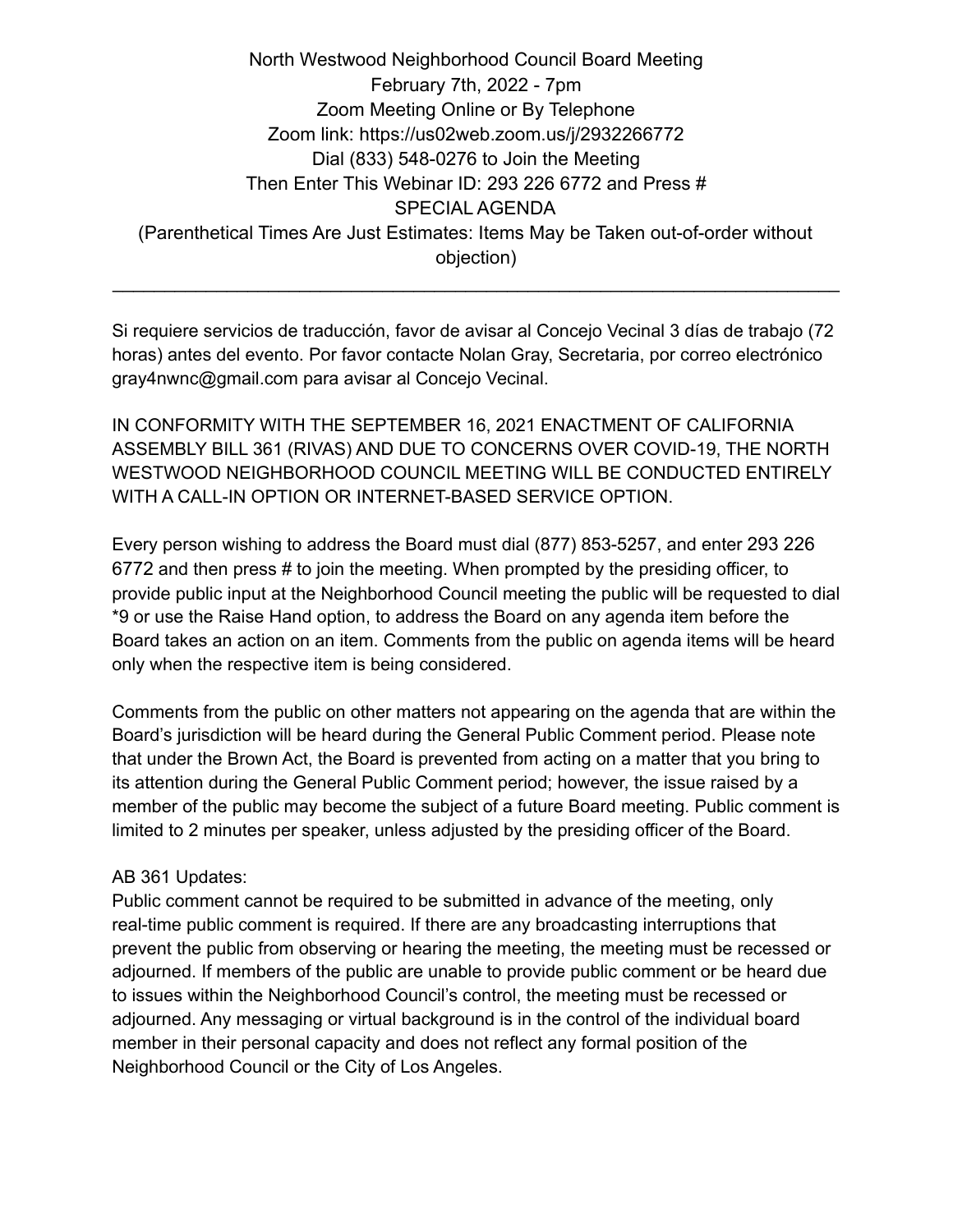North Westwood Neighborhood Council Board Meeting February 7th, 2022 - 7pm Zoom Meeting Online or By Telephone Zoom link: https://us02web.zoom.us/j/2932266772 Dial (833) 548-0276 to Join the Meeting Then Enter This Webinar ID: 293 226 6772 and Press # SPECIAL AGENDA (Parenthetical Times Are Just Estimates: Items May be Taken out-of-order without objection)

Si requiere servicios de traducción, favor de avisar al Concejo Vecinal 3 días de trabajo (72 horas) antes del evento. Por favor contacte Nolan Gray, Secretaria, por correo electrónico gray4nwnc@gmail.com para avisar al Concejo Vecinal.

 $\mathcal{L}_\text{max} = \mathcal{L}_\text{max} = \mathcal{L}_\text{max} = \mathcal{L}_\text{max} = \mathcal{L}_\text{max} = \mathcal{L}_\text{max} = \mathcal{L}_\text{max} = \mathcal{L}_\text{max} = \mathcal{L}_\text{max} = \mathcal{L}_\text{max} = \mathcal{L}_\text{max} = \mathcal{L}_\text{max} = \mathcal{L}_\text{max} = \mathcal{L}_\text{max} = \mathcal{L}_\text{max} = \mathcal{L}_\text{max} = \mathcal{L}_\text{max} = \mathcal{L}_\text{max} = \mathcal{$ 

IN CONFORMITY WITH THE SEPTEMBER 16, 2021 ENACTMENT OF CALIFORNIA ASSEMBLY BILL 361 (RIVAS) AND DUE TO CONCERNS OVER COVID-19, THE NORTH WESTWOOD NEIGHBORHOOD COUNCIL MEETING WILL BE CONDUCTED ENTIRELY WITH A CALL-IN OPTION OR INTERNET-BASED SERVICE OPTION.

Every person wishing to address the Board must dial (877) 853-5257, and enter 293 226 6772 and then press # to join the meeting. When prompted by the presiding officer, to provide public input at the Neighborhood Council meeting the public will be requested to dial \*9 or use the Raise Hand option, to address the Board on any agenda item before the Board takes an action on an item. Comments from the public on agenda items will be heard only when the respective item is being considered.

Comments from the public on other matters not appearing on the agenda that are within the Board's jurisdiction will be heard during the General Public Comment period. Please note that under the Brown Act, the Board is prevented from acting on a matter that you bring to its attention during the General Public Comment period; however, the issue raised by a member of the public may become the subject of a future Board meeting. Public comment is limited to 2 minutes per speaker, unless adjusted by the presiding officer of the Board.

## AB 361 Updates:

Public comment cannot be required to be submitted in advance of the meeting, only real-time public comment is required. If there are any broadcasting interruptions that prevent the public from observing or hearing the meeting, the meeting must be recessed or adjourned. If members of the public are unable to provide public comment or be heard due to issues within the Neighborhood Council's control, the meeting must be recessed or adjourned. Any messaging or virtual background is in the control of the individual board member in their personal capacity and does not reflect any formal position of the Neighborhood Council or the City of Los Angeles.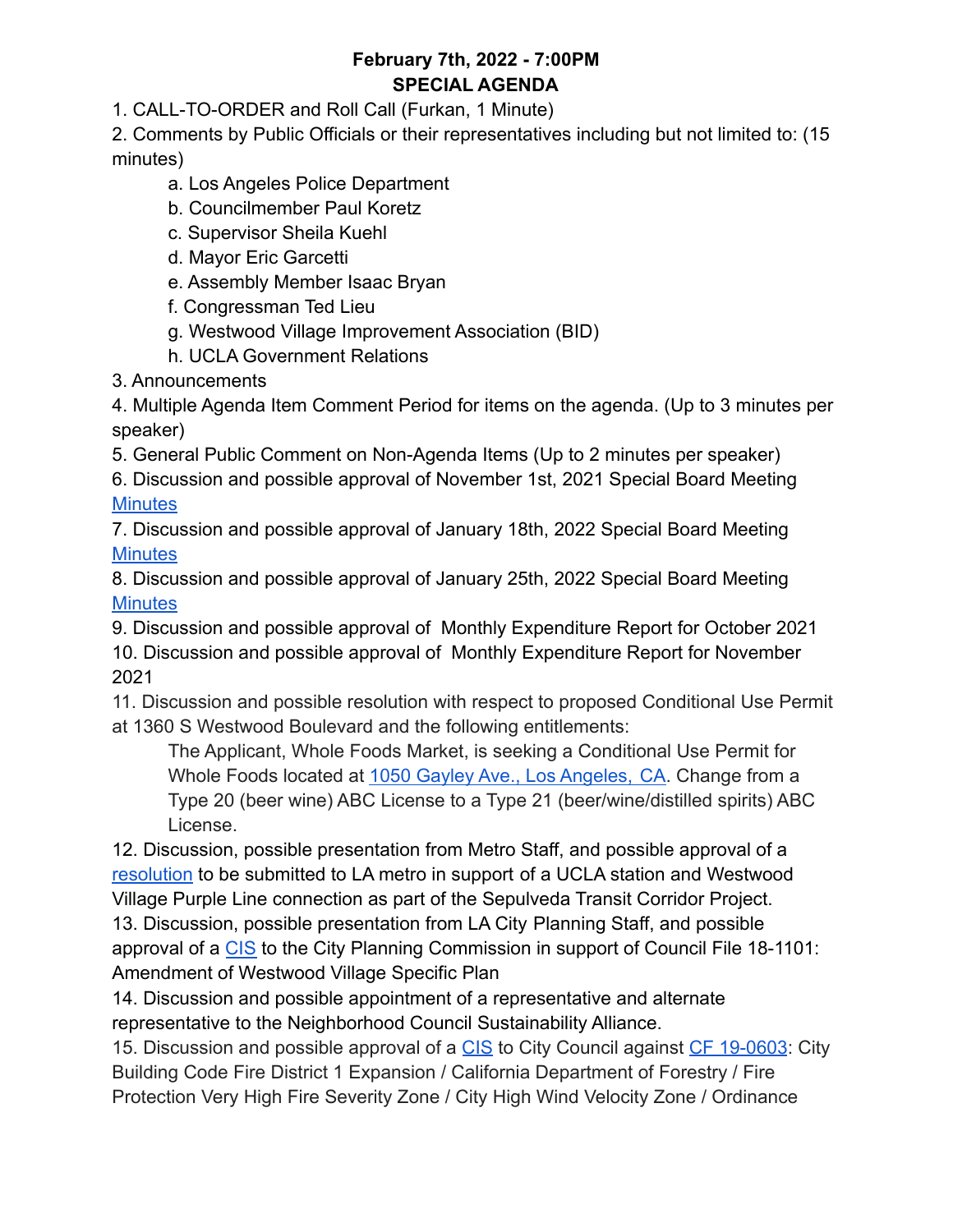# **February 7th, 2022 - 7:00PM SPECIAL AGENDA**

1. CALL-TO-ORDER and Roll Call (Furkan, 1 Minute)

2. Comments by Public Officials or their representatives including but not limited to: (15 minutes)

- a. Los Angeles Police Department
- b. Councilmember Paul Koretz
- c. Supervisor Sheila Kuehl
- d. Mayor Eric Garcetti
- e. Assembly Member Isaac Bryan
- f. Congressman Ted Lieu
- g. Westwood Village Improvement Association (BID)
- h. UCLA Government Relations
- 3. Announcements

4. Multiple Agenda Item Comment Period for items on the agenda. (Up to 3 minutes per speaker)

5. General Public Comment on Non-Agenda Items (Up to 2 minutes per speaker)

6. Discussion and possible approval of November 1st, 2021 Special Board Meeting **[Minutes](https://docs.google.com/document/d/1MQO6Czjd6EnYua2TsMqjsBePG9fvaxaGEaKrjPCEBo8/edit?usp=sharing)** 

7. Discussion and possible approval of January 18th, 2022 Special Board Meeting **[Minutes](https://docs.google.com/document/d/1YHG2LbmhxOVtNji7jhdkIWItv3Y6BgGpCIZ90VVuYUo/edit?usp=sharing)** 

8. Discussion and possible approval of January 25th, 2022 Special Board Meeting **[Minutes](https://docs.google.com/document/d/1FgYkNbJstQf0hagYS8EtPkf-gHtmWH6jKbik-RQwt1c/edit?usp=sharing)** 

9. Discussion and possible approval of Monthly Expenditure Report for October 2021 10. Discussion and possible approval of Monthly Expenditure Report for November 2021

11. Discussion and possible resolution with respect to proposed Conditional Use Permit at 1360 S Westwood Boulevard and the following entitlements:

The Applicant, Whole Foods Market, is seeking a Conditional Use Permit for Whole Foods located at [1050 Gayley Ave., Los Angeles,](https://www.google.com/maps/search/1050+Gayley+Ave.,+Los+Angeles,+CA?entry=gmail&source=g) CA. Change from a Type 20 (beer wine) ABC License to a Type 21 (beer/wine/distilled spirits) ABC License.

12. Discussion, possible presentation from Metro Staff, and possible approval of a [resolution](https://docs.google.com/document/d/1-H1xpejFTLHt0uaw046mgcuIN0fgZYkw-2gI3ez_QOo/edit?usp=sharing) to be submitted to LA metro in support of a UCLA station and Westwood Village Purple Line connection as part of the Sepulveda Transit Corridor Project. 13. Discussion, possible presentation from LA City Planning Staff, and possible approval of a [CIS](https://docs.google.com/document/d/18zUbeX2HjAoT9MKk4zxItJ2gk2nkvmDv/edit?usp=sharing&ouid=118223006001496148051&rtpof=true&sd=true) to the City Planning Commission in support of Council File 18-1101: Amendment of Westwood Village Specific Plan

14. Discussion and possible appointment of a representative and alternate representative to the Neighborhood Council Sustainability Alliance.

15. Discussion and possible approval of a [CIS](https://docs.google.com/document/d/1A8rKzmyUlKOdrBcw0xCRacJMSsMxoKk6XioQMEAxJ2w/edit?usp=sharing) to City Council against [CF 19-0603](https://cityclerk.lacity.org/lacityclerkconnect/index.cfm?fa=ccfi.viewrecord&cfnumber=19-0603): City Building Code Fire District 1 Expansion / California Department of Forestry / Fire Protection Very High Fire Severity Zone / City High Wind Velocity Zone / Ordinance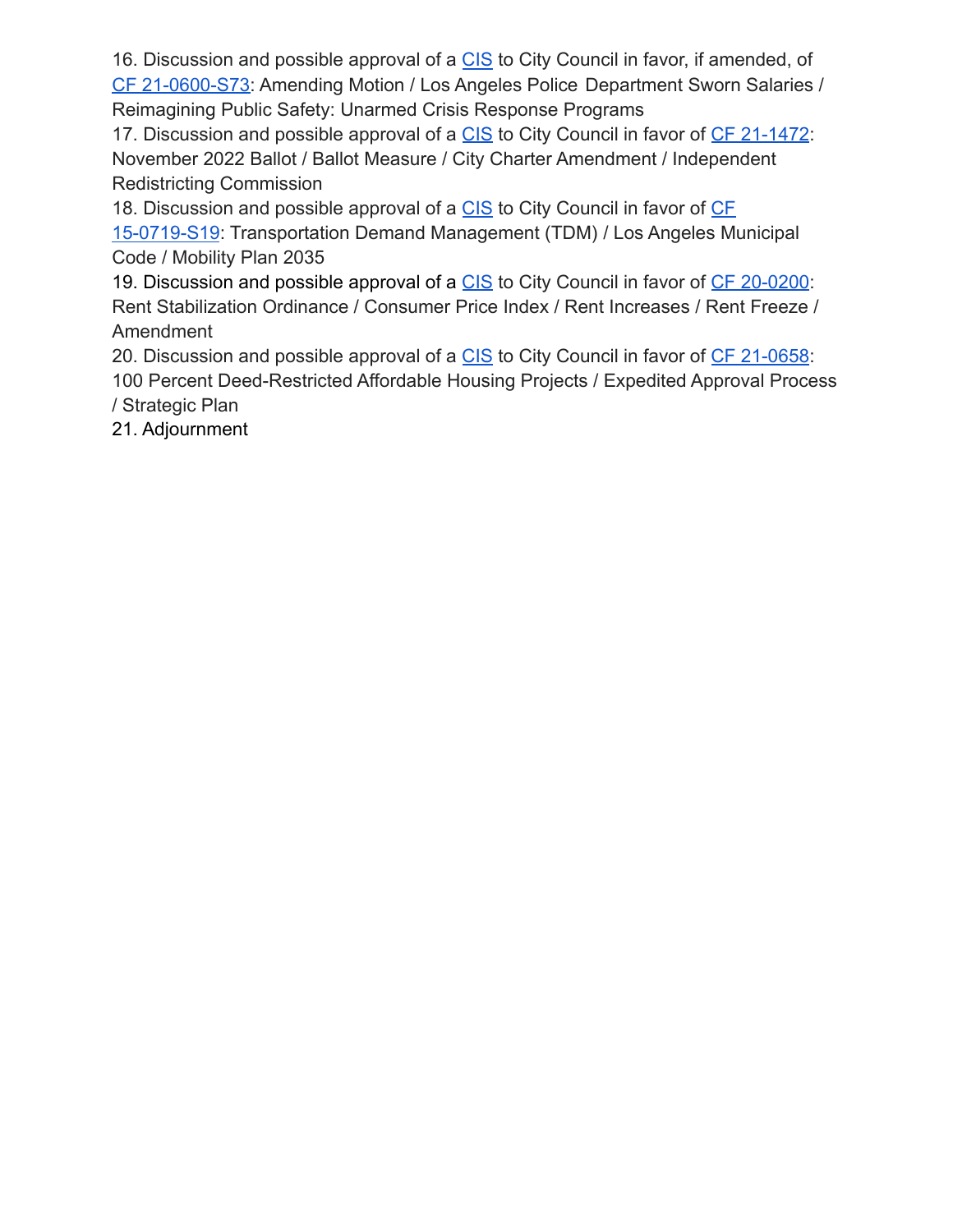16. Discussion and possible approval of a [CIS](https://docs.google.com/document/d/1GhX-z8iyJ3TnM3bx1Ys_KKyROQ3MXWnZx9iCdDZ8R8Q/edit?usp=sharing) to City Council in favor, if amended, of [CF 21-0600-S73:](https://cityclerk.lacity.org/lacityclerkconnect/index.cfm?fa=ccfi.viewrecord&cfnumber=21-0600-S73) Amending Motion / Los Angeles Police Department Sworn Salaries / Reimagining Public Safety: Unarmed Crisis Response Programs

17. Discussion and possible approval of a [CIS](https://docs.google.com/document/d/17wpx5KB3Rw6psD6BWoqAQj-b9uAxv97WHyL-V5lPnUc/edit?usp=sharing) to City Council in favor of [CF 21-1472](https://cityclerk.lacity.org/lacityclerkconnect/index.cfm?fa=ccfi.viewrecord&cfnumber=21-1472): November 2022 Ballot / Ballot Measure / City Charter Amendment / Independent Redistricting Commission

18. Discussion and possible approval of a [CIS](https://docs.google.com/document/d/1RcRPAp7CE_ngaU-PDpPIAy-MW_11faPAVSsLwMyWb54/edit) to City Council in favor of [CF](https://cityclerk.lacity.org/lacityclerkconnect/index.cfm?fa=ccfi.viewrecord&cfnumber=15-0719-S19) [15-0719-S19](https://cityclerk.lacity.org/lacityclerkconnect/index.cfm?fa=ccfi.viewrecord&cfnumber=15-0719-S19): Transportation Demand Management (TDM) / Los Angeles Municipal Code / Mobility Plan 2035

19. Discussion and possible approval of a [CIS](https://docs.google.com/document/d/1zuwLUsHLv_4_xDEFKi4EsYVN8ObThjtrxD7FZRzITUM/edit?usp=sharing) to City Council in favor of [CF 20-0200](https://cityclerk.lacity.org/lacityclerkconnect/index.cfm?fa=ccfi.viewrecord&cfnumber=20-0200): Rent Stabilization Ordinance / Consumer Price Index / Rent Increases / Rent Freeze / Amendment

20. Discussion and possible approval of a [CIS](https://docs.google.com/document/d/1T--7WbdA7J4JbUjKEdq95-vU9aoXXwgLw5M880TCF6E/edit?usp=sharing) to City Council in favor of [CF 21-0658](https://cityclerk.lacity.org/lacityclerkconnect/index.cfm?fa=ccfi.viewrecord&cfnumber=21-0658): 100 Percent Deed-Restricted Affordable Housing Projects / Expedited Approval Process / Strategic Plan

21. Adjournment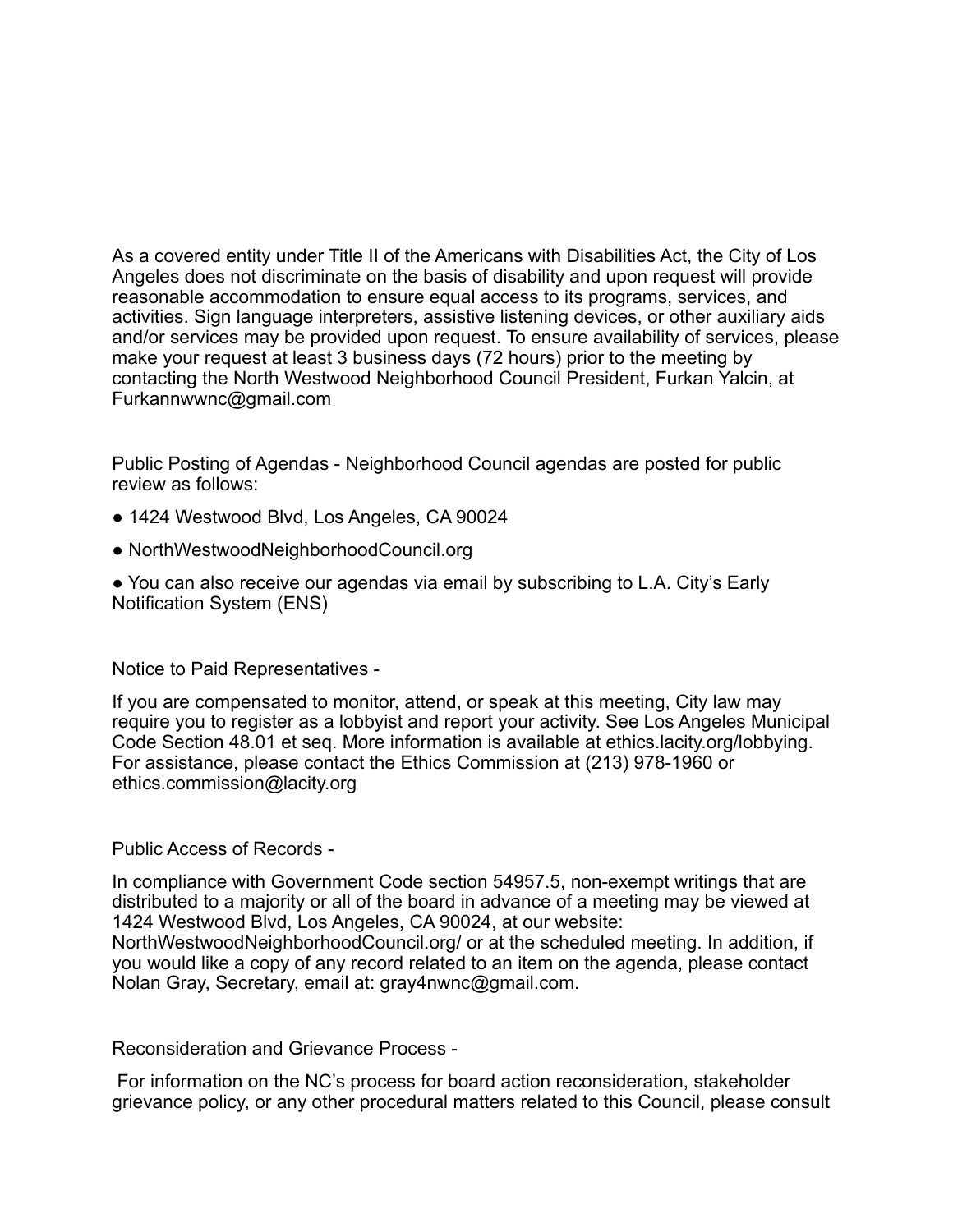As a covered entity under Title II of the Americans with Disabilities Act, the City of Los Angeles does not discriminate on the basis of disability and upon request will provide reasonable accommodation to ensure equal access to its programs, services, and activities. Sign language interpreters, assistive listening devices, or other auxiliary aids and/or services may be provided upon request. To ensure availability of services, please make your request at least 3 business days (72 hours) prior to the meeting by contacting the North Westwood Neighborhood Council President, Furkan Yalcin, at Furkannwwnc@gmail.com

Public Posting of Agendas - Neighborhood Council agendas are posted for public review as follows:

- 1424 Westwood Blvd, Los Angeles, CA 90024
- NorthWestwoodNeighborhoodCouncil.org
- You can also receive our agendas via email by subscribing to L.A. City's Early Notification System (ENS)

### Notice to Paid Representatives -

If you are compensated to monitor, attend, or speak at this meeting, City law may require you to register as a lobbyist and report your activity. See Los Angeles Municipal Code Section 48.01 et seq. More information is available at ethics.lacity.org/lobbying. For assistance, please contact the Ethics Commission at (213) 978-1960 or ethics.commission@lacity.org

### Public Access of Records -

In compliance with Government Code section 54957.5, non-exempt writings that are distributed to a majority or all of the board in advance of a meeting may be viewed at 1424 Westwood Blvd, Los Angeles, CA 90024, at our website: NorthWestwoodNeighborhoodCouncil.org/ or at the scheduled meeting. In addition, if you would like a copy of any record related to an item on the agenda, please contact Nolan Gray, Secretary, email at: gray4nwnc@gmail.com.

#### Reconsideration and Grievance Process -

For information on the NC's process for board action reconsideration, stakeholder grievance policy, or any other procedural matters related to this Council, please consult